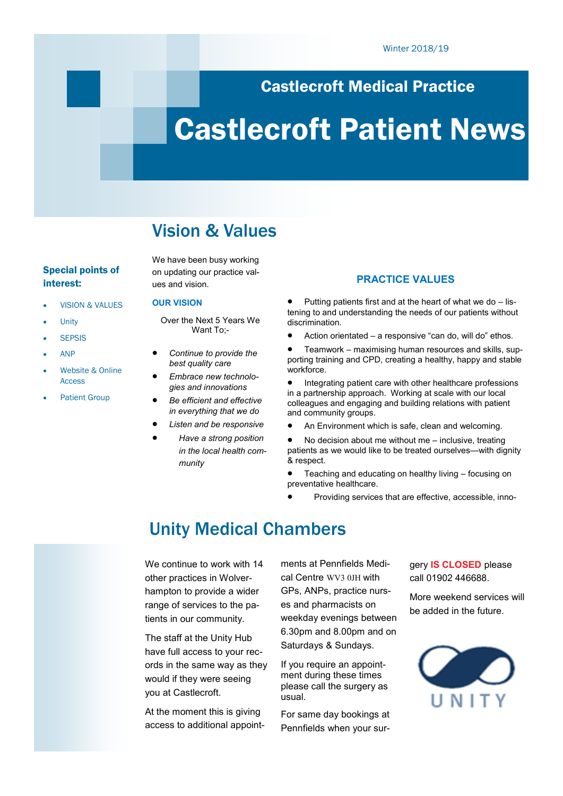### Castlecroft Medical Practice

# Castlecroft Patient News

## Vision & Values

### Special points of interest:

- VISION & VALUES
- Unity
- **SEPSIS**
- ANP
- Website & Online Access
- Patient Group

We have been busy working on updating our practice values and vision.

#### **OUR VISION**

Over the Next 5 Years We Want To:-

- *Continue to provide the best quality care*
- *Embrace new technologies and innovations*
- *Be efficient and effective in everything that we do*
- *Listen and be responsive*
- *Have a strong position in the local health community*

### **PRACTICE VALUES**

 Putting patients first and at the heart of what we do – listening to and understanding the needs of our patients without discrimination.

- Action orientated a responsive "can do, will do" ethos.
- Teamwork maximising human resources and skills, supporting training and CPD, creating a healthy, happy and stable workforce.

 Integrating patient care with other healthcare professions in a partnership approach. Working at scale with our local colleagues and engaging and building relations with patient and community groups.

- An Environment which is safe, clean and welcoming.
- No decision about me without me inclusive, treating patients as we would like to be treated ourselves—with dignity & respect.
- Teaching and educating on healthy living focusing on preventative healthcare.
- Providing services that are effective, accessible, inno-

### Unity Medical Chambers

We continue to work with 14 other practices in Wolverhampton to provide a wider range of services to the patients in our community.

The staff at the Unity Hub have full access to your records in the same way as they would if they were seeing you at Castlecroft.

At the moment this is giving access to additional appoint-

ments at Pennfields Medical Centre WV3 0JH with GPs, ANPs, practice nurses and pharmacists on weekday evenings between 6.30pm and 8.00pm and on Saturdays & Sundays.

If you require an appointment during these times please call the surgery as usual.

For same day bookings at Pennfields when your surgery **IS CLOSED** please call 01902 446688.

More weekend services will be added in the future.

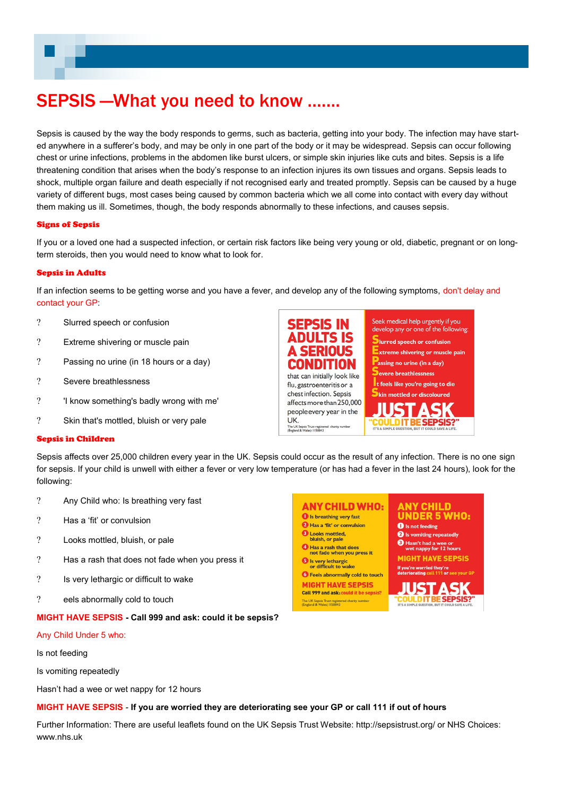# SEPSIS —What you need to know …….

Sepsis is caused by the way the body responds to germs, such as bacteria, getting into your body. The infection may have started anywhere in a sufferer's body, and may be only in one part of the body or it may be widespread. Sepsis can occur following chest or urine infections, problems in the abdomen like burst ulcers, or simple skin injuries like cuts and bites. Sepsis is a life threatening condition that arises when the body's response to an infection injures its own tissues and organs. Sepsis leads to shock, multiple organ failure and death especially if not recognised early and treated promptly. Sepsis can be caused by a huge variety of different bugs, most cases being caused by common bacteria which we all come into contact with every day without them making us ill. Sometimes, though, the body responds abnormally to these infections, and causes sepsis.

#### Signs of Sepsis

If you or a loved one had a suspected infection, or certain risk factors like being very young or old, diabetic, pregnant or on longterm steroids, then you would need to know what to look for.

#### Sepsis in Adults

If an infection seems to be getting worse and you have a fever, and develop any of the following symptoms, don't delay and contact your GP:

**SEPSIS IN** 

SERIOUS

**CONDITION** 

that can initially look like

affects more than 250,000 people every year in the

The UK Sepsis Trust registered charity number<br>(England & Wales) 1158843

flu, gastroenteritis or a chest infection. Sepsis

- Slurred speech or confusion
- Extreme shivering or muscle pain
- Passing no urine (in 18 hours or a day)
- Severe breathlessness
- 'I know something's badly wrong with me'
- Skin that's mottled, bluish or very pale

#### Sepsis in Children



**UK** 

- Any Child who: Is breathing very fast
- Has a 'fit' or convulsion
- Looks mottled, bluish, or pale
- Has a rash that does not fade when you press it
- Is very lethargic or difficult to wake
- eels abnormally cold to touch



**ANY CHILD WHO:** ANY CHILD **UNDER 5 WHO: O** Is breathing very fast <sup>2</sup> Has a 'fit' or convulsion **O** Is not feeding **3** Looks mottled,<br>bluish, or pale **O** Is vomiting repeatedly Hasn't had a wee or<br>wet nappy for 12 hours 4 Has a rash that does<br>not fade when you press it **MIGHT HAVE SEPSIS** S Is very lethargic<br>or difficult to wake e worried they're<br>rating call 111 or : **6** Feels abnormally cold to touch **MIGHT HAVE SEPSIS JUST ASK** Call 999 and ask: could it be sep: **COULD IT BE SEPSIS** The UK Sepsis Trust registered charity number<br>(England & Wales) 1158843

Seek medical help urgently if you

develop any or one of the following: lurred speech or confusion

xtreme shivering or muscle pain

**DIT BE SEPSIS?** 

assing no urine (in a day) evere breathlessness

It feels like you're going to die

kin mottled or discoloured

Any Child Under 5 who:

Is not feeding

Is vomiting repeatedly

Hasn't had a wee or wet nappy for 12 hours

#### **MIGHT HAVE SEPSIS** - **If you are worried they are deteriorating see your GP or call 111 if out of hours**

Further Information: There are useful leaflets found on the UK Sepsis Trust Website: http://sepsistrust.org/ or NHS Choices: www.nhs.uk